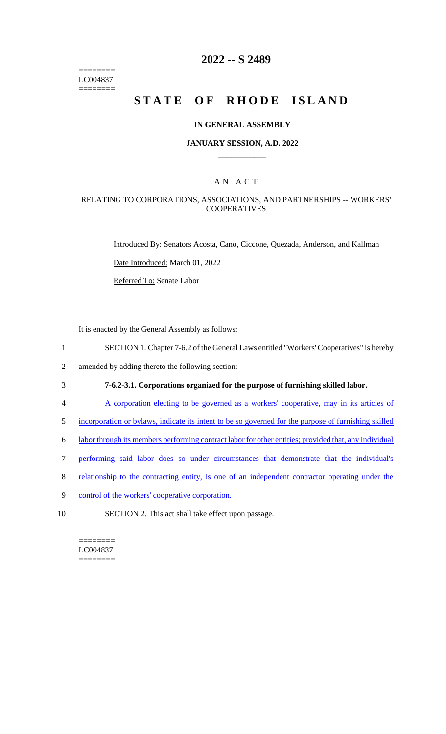======== LC004837 ========

## **2022 -- S 2489**

# **STATE OF RHODE ISLAND**

#### **IN GENERAL ASSEMBLY**

#### **JANUARY SESSION, A.D. 2022 \_\_\_\_\_\_\_\_\_\_\_\_**

## A N A C T

### RELATING TO CORPORATIONS, ASSOCIATIONS, AND PARTNERSHIPS -- WORKERS' **COOPERATIVES**

Introduced By: Senators Acosta, Cano, Ciccone, Quezada, Anderson, and Kallman

Date Introduced: March 01, 2022

Referred To: Senate Labor

It is enacted by the General Assembly as follows:

- 1 SECTION 1. Chapter 7-6.2 of the General Laws entitled "Workers' Cooperatives" is hereby
- 2 amended by adding thereto the following section:

## 3 **7-6.2-3.1. Corporations organized for the purpose of furnishing skilled labor.**

- 4 A corporation electing to be governed as a workers' cooperative, may in its articles of
- 5 incorporation or bylaws, indicate its intent to be so governed for the purpose of furnishing skilled
- 6 labor through its members performing contract labor for other entities; provided that, any individual
- 7 performing said labor does so under circumstances that demonstrate that the individual's
- 8 relationship to the contracting entity, is one of an independent contractor operating under the
- 9 control of the workers' cooperative corporation.
- 10 SECTION 2. This act shall take effect upon passage.

======== LC004837 ========